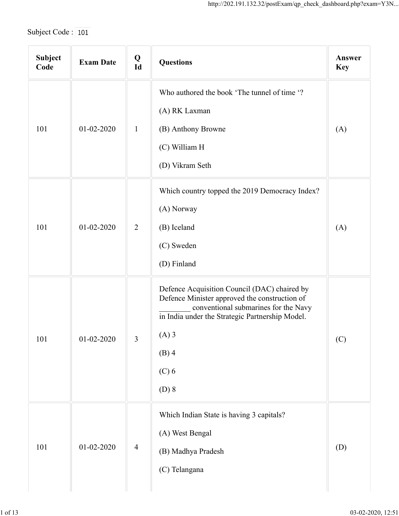| Subject Code: 101 |                  |                |                                                                                                                                                                                                                                      |                      |  |  |
|-------------------|------------------|----------------|--------------------------------------------------------------------------------------------------------------------------------------------------------------------------------------------------------------------------------------|----------------------|--|--|
| Subject<br>Code   | <b>Exam Date</b> | $Q$<br>$Id$    | <b>Questions</b>                                                                                                                                                                                                                     | Answer<br><b>Key</b> |  |  |
| 101               | $01 - 02 - 2020$ | $\mathbf{1}$   | Who authored the book 'The tunnel of time '?<br>(A) RK Laxman<br>(B) Anthony Browne                                                                                                                                                  | (A)                  |  |  |
|                   |                  |                | (C) William H<br>(D) Vikram Seth                                                                                                                                                                                                     |                      |  |  |
| 101               | $01 - 02 - 2020$ | 2              | Which country topped the 2019 Democracy Index?<br>(A) Norway<br>(B) Iceland<br>(C) Sweden<br>(D) Finland                                                                                                                             | (A)                  |  |  |
| 101               | $01 - 02 - 2020$ | $\overline{3}$ | Defence Acquisition Council (DAC) chaired by<br>Defence Minister approved the construction of<br>conventional submarines for the Navy<br>in India under the Strategic Partnership Model.<br>$(A)$ 3<br>$(B)$ 4<br>$(C)$ 6<br>$(D)$ 8 | (C)                  |  |  |
| 101               | $01 - 02 - 2020$ | $\overline{4}$ | Which Indian State is having 3 capitals?<br>(A) West Bengal<br>(B) Madhya Pradesh<br>(C) Telangana                                                                                                                                   | (D)                  |  |  |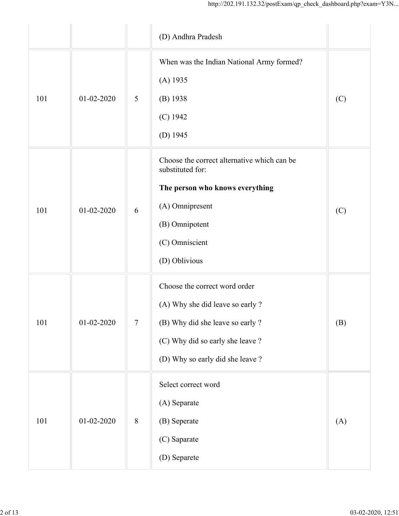|     |                  |                 | http://202.191.132.32/postExam/qp_check_dashboard.php?exam=Y3N                                                                                                                |     |
|-----|------------------|-----------------|-------------------------------------------------------------------------------------------------------------------------------------------------------------------------------|-----|
|     |                  |                 | (D) Andhra Pradesh                                                                                                                                                            |     |
| 101 | $01 - 02 - 2020$ | 5               | When was the Indian National Army formed?<br>$(A)$ 1935<br>$(B)$ 1938<br>$(C)$ 1942<br>(D) $1945$                                                                             | (C) |
| 101 | $01 - 02 - 2020$ | 6               | Choose the correct alternative which can be<br>substituted for:<br>The person who knows everything<br>(A) Omnipresent<br>(B) Omnipotent<br>(C) Omniscient<br>(D) Oblivious    | (C) |
| 101 | $01 - 02 - 2020$ | $7\phantom{.0}$ | Choose the correct word order<br>(A) Why she did leave so early ?<br>(B) Why did she leave so early ?<br>(C) Why did so early she leave ?<br>(D) Why so early did she leave ? | (B) |
| 101 | $01-02-2020$     | $\,8\,$         | Select correct word<br>(A) Separate<br>(B) Seperate<br>(C) Saparate<br>(D) Separete                                                                                           | (A) |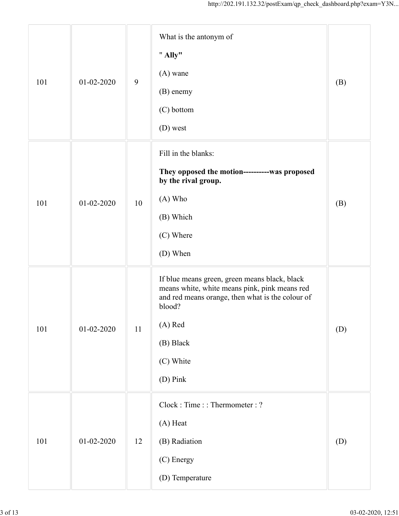|     |                  |                  | http://202.191.132.32/postExam/qp_check_dashboard.php?exam=Y3N                                                                                                                                                |     |
|-----|------------------|------------------|---------------------------------------------------------------------------------------------------------------------------------------------------------------------------------------------------------------|-----|
| 101 | 01-02-2020       | $\boldsymbol{9}$ | What is the antonym of<br>" Ally"<br>$(A)$ wane<br>(B) enemy<br>(C) bottom<br>(D) west                                                                                                                        | (B) |
| 101 | $01 - 02 - 2020$ | 10               | Fill in the blanks:<br>They opposed the motion-----------was proposed<br>by the rival group.<br>(A) Who<br>(B) Which<br>(C) Where<br>(D) When                                                                 | (B) |
| 101 | 01-02-2020       | 11               | If blue means green, green means black, black<br>means white, white means pink, pink means red<br>and red means orange, then what is the colour of<br>blood?<br>(A) Red<br>(B) Black<br>(C) White<br>(D) Pink | (D) |
| 101 | $01 - 02 - 2020$ | 12               | Clock: Time:: Thermometer: ?<br>(A) Heat<br>(B) Radiation<br>(C) Energy<br>(D) Temperature                                                                                                                    | (D) |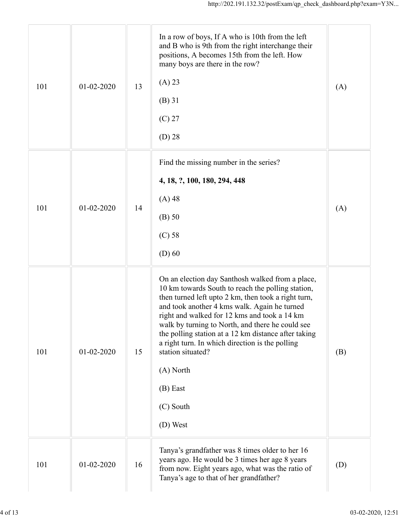| 101 | $01 - 02 - 2020$ | 13 | In a row of boys, If A who is 10th from the left<br>and B who is 9th from the right interchange their<br>positions, A becomes 15th from the left. How<br>many boys are there in the row?<br>(A) 23<br>(B) 31<br>$(C)$ 27<br>$(D)$ 28                                                                                                                                                                                                                                                               | (A) |
|-----|------------------|----|----------------------------------------------------------------------------------------------------------------------------------------------------------------------------------------------------------------------------------------------------------------------------------------------------------------------------------------------------------------------------------------------------------------------------------------------------------------------------------------------------|-----|
| 101 | 01-02-2020       | 14 | Find the missing number in the series?<br>4, 18, ?, 100, 180, 294, 448<br>$(A)$ 48<br>$(B)$ 50<br>$(C)$ 58<br>$(D)$ 60                                                                                                                                                                                                                                                                                                                                                                             | (A) |
| 101 | $01 - 02 - 2020$ | 15 | On an election day Santhosh walked from a place,<br>10 km towards South to reach the polling station,<br>then turned left upto 2 km, then took a right turn,<br>and took another 4 kms walk. Again he turned<br>right and walked for 12 kms and took a 14 km<br>walk by turning to North, and there he could see<br>the polling station at a 12 km distance after taking<br>a right turn. In which direction is the polling<br>station situated?<br>(A) North<br>(B) East<br>(C) South<br>(D) West | (B) |
| 101 | 01-02-2020       | 16 | Tanya's grandfather was 8 times older to her 16<br>years ago. He would be 3 times her age 8 years<br>from now. Eight years ago, what was the ratio of<br>Tanya's age to that of her grandfather?                                                                                                                                                                                                                                                                                                   | (D) |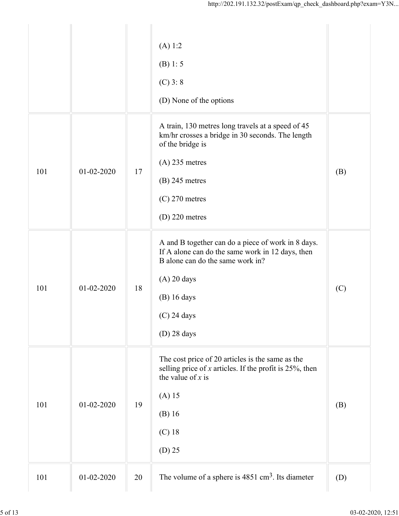| (A) 1:2<br>(B) 1: 5<br>$(C)$ 3: 8<br>(D) None of the options<br>A train, 130 metres long travels at a speed of 45<br>km/hr crosses a bridge in 30 seconds. The length<br>of the bridge is<br>$(A)$ 235 metres<br>101<br>$01 - 02 - 2020$<br>17<br>(B)<br>$(B)$ 245 metres<br>$(C)$ 270 metres<br>$(D)$ 220 metres<br>A and B together can do a piece of work in 8 days.<br>If A alone can do the same work in 12 days, then<br>B alone can do the same work in?<br>$(A)$ 20 days<br>101<br>$01 - 02 - 2020$<br>18<br>(C)<br>$(B)$ 16 days<br>$(C)$ 24 days<br>$(D)$ 28 days<br>The cost price of 20 articles is the same as the<br>selling price of $x$ articles. If the profit is 25%, then<br>the value of $x$ is<br>$(A)$ 15<br>101<br>$01 - 02 - 2020$<br>19<br>(B)<br>$(B)$ 16<br>$(C)$ 18<br>$(D)$ 25<br>The volume of a sphere is $4851 \text{ cm}^3$ . Its diameter<br>101<br>01-02-2020<br>20<br>(D) |  | http://202.191.132.32/postExam/qp_check_dashboard.php?exam=Y3N |  |
|---------------------------------------------------------------------------------------------------------------------------------------------------------------------------------------------------------------------------------------------------------------------------------------------------------------------------------------------------------------------------------------------------------------------------------------------------------------------------------------------------------------------------------------------------------------------------------------------------------------------------------------------------------------------------------------------------------------------------------------------------------------------------------------------------------------------------------------------------------------------------------------------------------------|--|----------------------------------------------------------------|--|
|                                                                                                                                                                                                                                                                                                                                                                                                                                                                                                                                                                                                                                                                                                                                                                                                                                                                                                               |  |                                                                |  |
|                                                                                                                                                                                                                                                                                                                                                                                                                                                                                                                                                                                                                                                                                                                                                                                                                                                                                                               |  |                                                                |  |
|                                                                                                                                                                                                                                                                                                                                                                                                                                                                                                                                                                                                                                                                                                                                                                                                                                                                                                               |  |                                                                |  |
|                                                                                                                                                                                                                                                                                                                                                                                                                                                                                                                                                                                                                                                                                                                                                                                                                                                                                                               |  |                                                                |  |
|                                                                                                                                                                                                                                                                                                                                                                                                                                                                                                                                                                                                                                                                                                                                                                                                                                                                                                               |  |                                                                |  |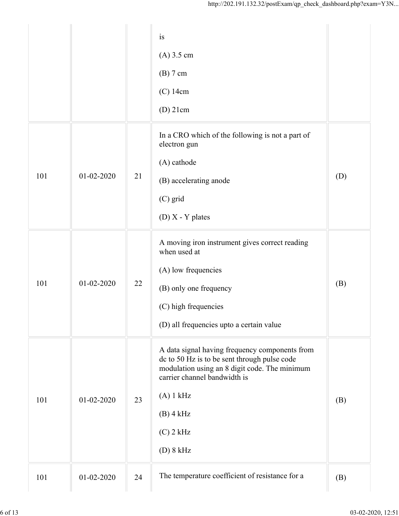|     |                  |    | is                                                                                                                                                                              |     |
|-----|------------------|----|---------------------------------------------------------------------------------------------------------------------------------------------------------------------------------|-----|
|     |                  |    | $(A)$ 3.5 cm                                                                                                                                                                    |     |
|     |                  |    | $(B)$ 7 cm                                                                                                                                                                      |     |
|     |                  |    | $(C)$ 14cm                                                                                                                                                                      |     |
|     |                  |    | $(D)$ 21cm                                                                                                                                                                      |     |
|     |                  |    | In a CRO which of the following is not a part of<br>electron gun                                                                                                                |     |
|     |                  |    | (A) cathode                                                                                                                                                                     |     |
| 101 | $01 - 02 - 2020$ | 21 | (B) accelerating anode                                                                                                                                                          | (D) |
|     |                  |    | (C) grid                                                                                                                                                                        |     |
|     |                  |    | $(D)$ X - Y plates                                                                                                                                                              |     |
|     |                  | 22 | A moving iron instrument gives correct reading<br>when used at                                                                                                                  |     |
|     | $01 - 02 - 2020$ |    | (A) low frequencies                                                                                                                                                             |     |
| 101 |                  |    | (B) only one frequency                                                                                                                                                          | (B) |
|     |                  |    | (C) high frequencies                                                                                                                                                            |     |
|     |                  |    | (D) all frequencies upto a certain value                                                                                                                                        |     |
|     |                  | 23 | A data signal having frequency components from<br>dc to 50 Hz is to be sent through pulse code<br>modulation using an 8 digit code. The minimum<br>carrier channel bandwidth is |     |
| 101 | $01 - 02 - 2020$ |    | (A) 1 kHz                                                                                                                                                                       | (B) |
|     |                  |    | $(B)$ 4 kHz                                                                                                                                                                     |     |
|     |                  |    | $(C)$ 2 kHz                                                                                                                                                                     |     |
|     |                  |    | (D) 8 kHz                                                                                                                                                                       |     |
|     |                  |    | The temperature coefficient of resistance for a                                                                                                                                 |     |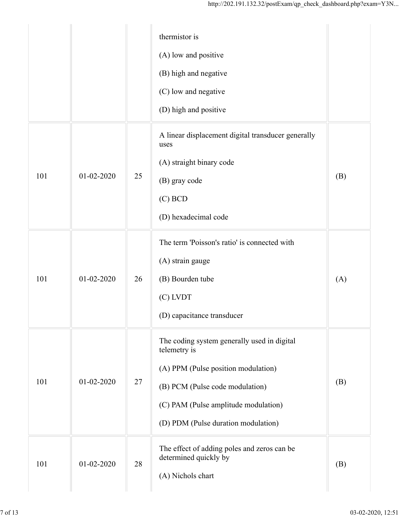|     |                  |        | thermistor is<br>(A) low and positive<br>(B) high and negative<br>(C) low and negative<br>(D) high and positive                                                                                                      |     |
|-----|------------------|--------|----------------------------------------------------------------------------------------------------------------------------------------------------------------------------------------------------------------------|-----|
| 101 | $01 - 02 - 2020$ | 25     | A linear displacement digital transducer generally<br>uses<br>(A) straight binary code<br>(B) gray code<br>$(C)$ BCD<br>(D) hexadecimal code                                                                         | (B) |
| 101 | $01 - 02 - 2020$ | 26     | The term 'Poisson's ratio' is connected with<br>(A) strain gauge<br>(B) Bourden tube<br>(C) LVDT<br>(D) capacitance transducer                                                                                       | (A) |
| 101 | $01 - 02 - 2020$ | $27\,$ | The coding system generally used in digital<br>telemetry is<br>(A) PPM (Pulse position modulation)<br>(B) PCM (Pulse code modulation)<br>(C) PAM (Pulse amplitude modulation)<br>(D) PDM (Pulse duration modulation) | (B) |
| 101 | 01-02-2020       | 28     | The effect of adding poles and zeros can be<br>determined quickly by<br>(A) Nichols chart                                                                                                                            | (B) |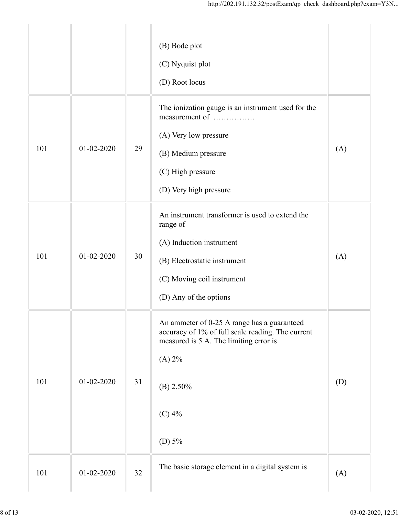|     |                  |    | http://202.191.132.32/postExam/qp_check_dashboard.php?exam=Y3N                                   |     |
|-----|------------------|----|--------------------------------------------------------------------------------------------------|-----|
|     |                  |    | (B) Bode plot                                                                                    |     |
|     |                  |    | (C) Nyquist plot                                                                                 |     |
|     |                  |    | (D) Root locus                                                                                   |     |
|     |                  |    | The ionization gauge is an instrument used for the<br>measurement of                             |     |
|     |                  |    | (A) Very low pressure                                                                            |     |
| 101 | $01 - 02 - 2020$ | 29 | (B) Medium pressure                                                                              | (A) |
|     |                  |    | (C) High pressure                                                                                |     |
|     |                  |    | (D) Very high pressure                                                                           |     |
|     |                  |    | An instrument transformer is used to extend the<br>range of                                      |     |
|     |                  |    | (A) Induction instrument                                                                         |     |
| 101 | $01 - 02 - 2020$ | 30 | (B) Electrostatic instrument                                                                     | (A) |
|     |                  |    | (C) Moving coil instrument                                                                       |     |
|     |                  |    | (D) Any of the options                                                                           |     |
|     |                  |    | An ammeter of 0-25 A range has a guaranteed<br>accuracy of 1% of full scale reading. The current |     |
|     |                  |    | measured is 5 A. The limiting error is                                                           |     |
|     |                  |    | (A) 2%                                                                                           |     |
| 101 | $01 - 02 - 2020$ | 31 | $(B)$ 2.50%                                                                                      | (D) |
|     |                  |    | $(C)$ 4%                                                                                         |     |
|     |                  |    | (D) $5%$                                                                                         |     |
| 101 | $01 - 02 - 2020$ | 32 | The basic storage element in a digital system is                                                 | (A) |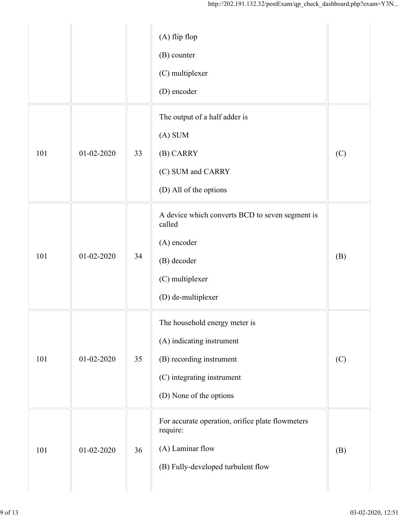|     |                  |    | http://202.191.132.32/postExam/qp_check_dashboard.php?exam=Y3N                                                                                  |     |
|-----|------------------|----|-------------------------------------------------------------------------------------------------------------------------------------------------|-----|
|     |                  |    | $(A)$ flip flop<br>(B) counter<br>(C) multiplexer<br>(D) encoder                                                                                |     |
| 101 | $01 - 02 - 2020$ | 33 | The output of a half adder is<br>$(A)$ SUM<br>(B) CARRY<br>(C) SUM and CARRY<br>(D) All of the options                                          | (C) |
| 101 | $01 - 02 - 2020$ | 34 | A device which converts BCD to seven segment is<br>called<br>(A) encoder<br>(B) decoder<br>(C) multiplexer<br>(D) de-multiplexer                | (B) |
| 101 | $01 - 02 - 2020$ | 35 | The household energy meter is<br>(A) indicating instrument<br>(B) recording instrument<br>(C) integrating instrument<br>(D) None of the options | (C) |
| 101 | $01 - 02 - 2020$ | 36 | For accurate operation, orifice plate flowmeters<br>require:<br>(A) Laminar flow<br>(B) Fully-developed turbulent flow                          | (B) |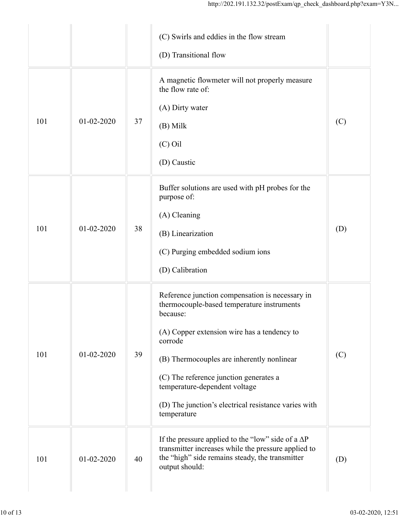|     |            |    | (C) Swirls and eddies in the flow stream                                                                                                                                              |     |
|-----|------------|----|---------------------------------------------------------------------------------------------------------------------------------------------------------------------------------------|-----|
|     |            |    | (D) Transitional flow                                                                                                                                                                 |     |
|     |            |    | A magnetic flowmeter will not properly measure<br>the flow rate of:                                                                                                                   |     |
| 101 | 01-02-2020 | 37 | (A) Dirty water                                                                                                                                                                       | (C) |
|     |            |    | (B) Milk                                                                                                                                                                              |     |
|     |            |    | $(C)$ Oil                                                                                                                                                                             |     |
|     |            |    | (D) Caustic                                                                                                                                                                           |     |
|     |            |    | Buffer solutions are used with pH probes for the<br>purpose of:                                                                                                                       |     |
|     |            |    | (A) Cleaning                                                                                                                                                                          |     |
| 101 | 01-02-2020 | 38 | (B) Linearization                                                                                                                                                                     | (D) |
|     |            |    | (C) Purging embedded sodium ions                                                                                                                                                      |     |
|     |            |    | (D) Calibration                                                                                                                                                                       |     |
|     |            |    | Reference junction compensation is necessary in<br>thermocouple-based temperature instruments<br>because:                                                                             |     |
|     |            |    | (A) Copper extension wire has a tendency to                                                                                                                                           |     |
| 101 | 01-02-2020 | 39 | corrode                                                                                                                                                                               | (C) |
|     |            |    | (B) Thermocouples are inherently nonlinear                                                                                                                                            |     |
|     |            |    | (C) The reference junction generates a<br>temperature-dependent voltage                                                                                                               |     |
|     |            |    | (D) The junction's electrical resistance varies with<br>temperature                                                                                                                   |     |
| 101 | 01-02-2020 | 40 | If the pressure applied to the "low" side of a $\Delta P$<br>transmitter increases while the pressure applied to<br>the "high" side remains steady, the transmitter<br>output should: | (D) |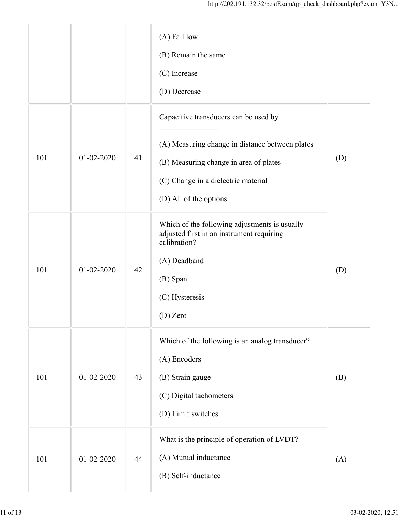|     |                  |    | http://202.191.132.32/postExam/qp_check_dashboard.php?exam=Y3N                                                                                                                                      |     |
|-----|------------------|----|-----------------------------------------------------------------------------------------------------------------------------------------------------------------------------------------------------|-----|
|     |                  |    | (A) Fail low<br>(B) Remain the same<br>(C) Increase<br>(D) Decrease                                                                                                                                 |     |
| 101 | $01 - 02 - 2020$ | 41 | Capacitive transducers can be used by<br>(A) Measuring change in distance between plates<br>(B) Measuring change in area of plates<br>(C) Change in a dielectric material<br>(D) All of the options | (D) |
| 101 | 01-02-2020       | 42 | Which of the following adjustments is usually<br>adjusted first in an instrument requiring<br>calibration?<br>(A) Deadband<br>(B) Span<br>(C) Hysteresis<br>(D) Zero                                | (D) |
| 101 | $01 - 02 - 2020$ | 43 | Which of the following is an analog transducer?<br>(A) Encoders<br>(B) Strain gauge<br>(C) Digital tachometers<br>(D) Limit switches                                                                | (B) |
| 101 | $01 - 02 - 2020$ | 44 | What is the principle of operation of LVDT?<br>(A) Mutual inductance<br>(B) Self-inductance                                                                                                         | (A) |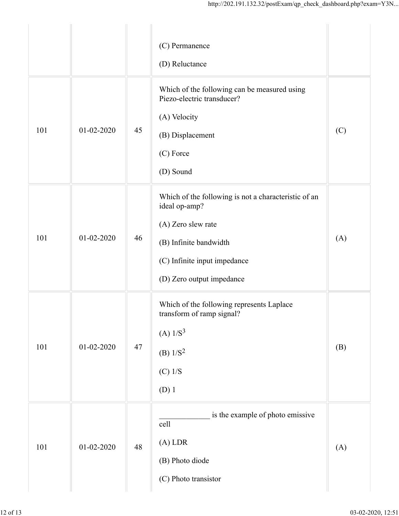|     |                  |    | http://202.191.132.32/postExam/qp_check_dashboard.php?exam=Y3N                                                                                                                     |     |
|-----|------------------|----|------------------------------------------------------------------------------------------------------------------------------------------------------------------------------------|-----|
|     |                  |    | (C) Permanence<br>(D) Reluctance                                                                                                                                                   |     |
| 101 | $01 - 02 - 2020$ | 45 | Which of the following can be measured using<br>Piezo-electric transducer?<br>(A) Velocity<br>(B) Displacement<br>(C) Force<br>(D) Sound                                           | (C) |
| 101 | 01-02-2020       | 46 | Which of the following is not a characteristic of an<br>ideal op-amp?<br>(A) Zero slew rate<br>(B) Infinite bandwidth<br>(C) Infinite input impedance<br>(D) Zero output impedance | (A) |
| 101 | $01 - 02 - 2020$ | 47 | Which of the following represents Laplace<br>transform of ramp signal?<br>(A) $1/S^3$<br>(B) $1/S^2$<br>$(C)$ 1/S<br>$(D)$ 1                                                       | (B) |
| 101 | $01 - 02 - 2020$ | 48 | is the example of photo emissive<br>cell<br>$(A)$ LDR<br>(B) Photo diode<br>(C) Photo transistor                                                                                   | (A) |